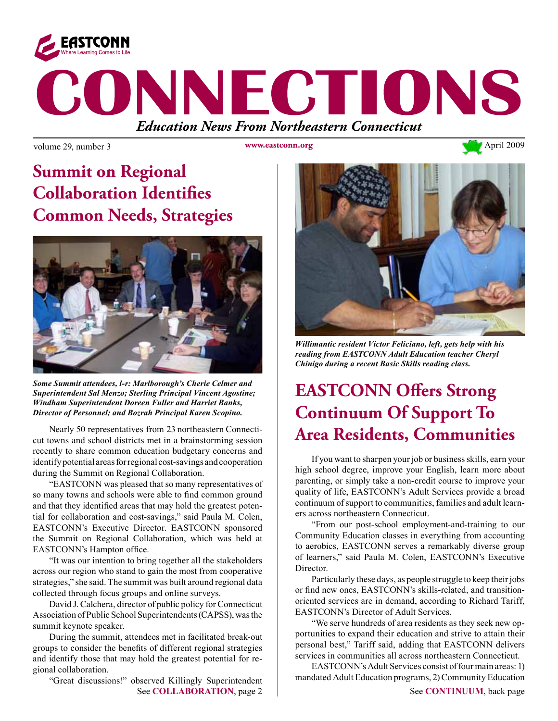

**www.eastconn.org**

volume 29, number 3 www.eastconn.org

# **Summit on Regional Collaboration Identifies Common Needs, Strategies**



*Some Summit attendees, l-r: Marlborough's Cherie Celmer and Superintendent Sal Menzo; Sterling Principal Vincent Agostine; Windham Superintendent Doreen Fuller and Harriet Banks, Director of Personnel; and Bozrah Principal Karen Scopino.*

Nearly 50 representatives from 23 northeastern Connecticut towns and school districts met in a brainstorming session recently to share common education budgetary concerns and identify potential areas for regional cost-savings and cooperation during the Summit on Regional Collaboration.

"EASTCONN was pleased that so many representatives of so many towns and schools were able to fnd common ground and that they identifed areas that may hold the greatest potential for collaboration and cost-savings," said Paula M. Colen, EASTCONN's Executive Director. EASTCONN sponsored the Summit on Regional Collaboration, which was held at EASTCONN's Hampton office.

"It was our intention to bring together all the stakeholders across our region who stand to gain the most from cooperative strategies," she said. The summit was built around regional data collected through focus groups and online surveys.

David J. Calchera, director of public policy for Connecticut Association of Public School Superintendents (CAPSS), was the summit keynote speaker.

During the summit, attendees met in facilitated break-out groups to consider the benefts of different regional strategies and identify those that may hold the greatest potential for regional collaboration.

See **COLLABORATION**, page 2 "Great discussions!" observed Killingly Superintendent



*Willimantic resident Victor Feliciano, left, gets help with his reading from EASTCONN Adult Education teacher Cheryl Chinigo during a recent Basic Skills reading class.* 

# **EASTCONN O!ers Strong Continuum Of Support To Area Residents, Communities**

If you want to sharpen your job or business skills, earn your high school degree, improve your English, learn more about parenting, or simply take a non-credit course to improve your quality of life, EASTCONN's Adult Services provide a broad continuum of support to communities, families and adult learners across northeastern Connecticut.

"From our post-school employment-and-training to our Community Education classes in everything from accounting to aerobics, EASTCONN serves a remarkably diverse group of learners," said Paula M. Colen, EASTCONN's Executive Director.

Particularly these days, as people struggle to keep their jobs or fnd new ones, EASTCONN's skills-related, and transitionoriented services are in demand, according to Richard Tariff, EASTCONN's Director of Adult Services.

"We serve hundreds of area residents as they seek new opportunities to expand their education and strive to attain their personal best," Tariff said, adding that EASTCONN delivers services in communities all across northeastern Connecticut.

EASTCONN's Adult Services consist of four main areas: 1) mandated Adult Education programs, 2) Community Education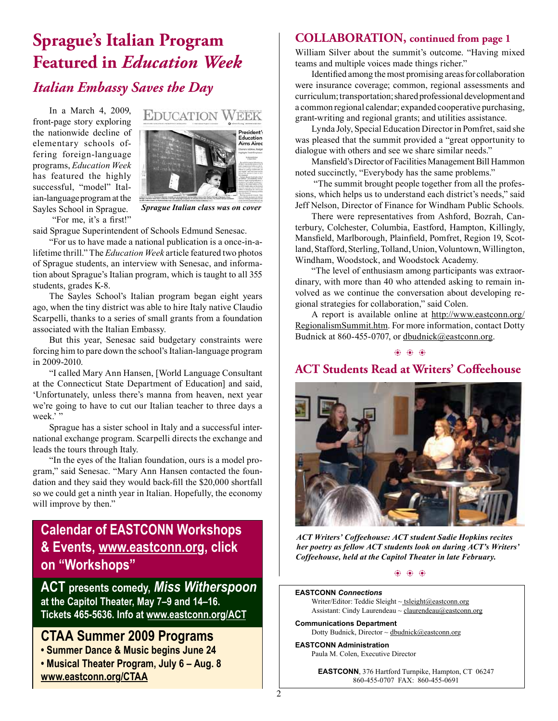# **Sprague's Italian Program Featured in** *Education Week*

### *Italian Embassy Saves the Day*

In a March 4, 2009, front-page story exploring the nationwide decline of elementary schools offering foreign-language programs, *Education Week* has featured the highly successful, "model" Italian-language program at the Sayles School in Sprague.



 *Sprague Italian class was on cover* 

 "For me, it's a frst!" said Sprague Superintendent of Schools Edmund Senesac.

"For us to have made a national publication is a once-in-alifetime thrill." The *Education Week* article featured two photos of Sprague students, an interview with Senesac, and information about Sprague's Italian program, which is taught to all 355 students, grades K-8.

The Sayles School's Italian program began eight years ago, when the tiny district was able to hire Italy native Claudio Scarpelli, thanks to a series of small grants from a foundation associated with the Italian Embassy.

But this year, Senesac said budgetary constraints were forcing him to pare down the school's Italian-language program in 2009-2010.

"I called Mary Ann Hansen, [World Language Consultant at the Connecticut State Department of Education] and said, 'Unfortunately, unless there's manna from heaven, next year we're going to have to cut our Italian teacher to three days a week.'"

Sprague has a sister school in Italy and a successful international exchange program. Scarpelli directs the exchange and leads the tours through Italy.

"In the eyes of the Italian foundation, ours is a model program," said Senesac. "Mary Ann Hansen contacted the foundation and they said they would back-fll the \$20,000 shortfall so we could get a ninth year in Italian. Hopefully, the economy will improve by then."

### **Calendar of EASTCONN Workshops & Events, www.eastconn.org, click on "Workshops"**

**ACT presents comedy,** *Miss Witherspoon* **at the Capitol Theater, May 7–9 and 14–16. Tickets 465-5636. Info at www.eastconn.org/ACT**

### **CTAA Summer 2009 Programs**

- **Summer Dance & Music begins June 24**
- **Musical Theater Program, July 6 Aug. 8 www.eastconn.org/CTAA**

#### **COLLABORATION, continued from page 1**

William Silver about the summit's outcome. "Having mixed teams and multiple voices made things richer."

Identifed among the most promising areas for collaboration were insurance coverage; common, regional assessments and curriculum; transportation; shared professional development and a common regional calendar; expanded cooperative purchasing, grant-writing and regional grants; and utilities assistance.

Lynda Joly, Special Education Director in Pomfret, said she was pleased that the summit provided a "great opportunity to dialogue with others and see we share similar needs."

Mansfeld's Director of Facilities Management Bill Hammon noted succinctly, "Everybody has the same problems."

 "The summit brought people together from all the professions, which helps us to understand each district's needs," said Jeff Nelson, Director of Finance for Windham Public Schools.

There were representatives from Ashford, Bozrah, Canterbury, Colchester, Columbia, Eastford, Hampton, Killingly, Mansfeld, Marlborough, Plainfeld, Pomfret, Region 19, Scotland, Stafford, Sterling, Tolland, Union, Voluntown, Willington, Windham, Woodstock, and Woodstock Academy.

"The level of enthusiasm among participants was extraordinary, with more than 40 who attended asking to remain involved as we continue the conversation about developing regional strategies for collaboration," said Colen.

A report is available online at http://www.eastconn.org/ RegionalismSummit.htm. For more information, contact Dotty Budnick at 860-455-0707, or dbudnick@eastconn.org.

#### $\circledast$   $\circledast$   $\circledast$

### **ACT Students Read at Writers' Co!eehouse**



*ACT Writers' Coffeehouse: ACT student Sadie Hopkins recites her poetry as fellow ACT students look on during ACT's Writers' Coffeehouse, held at the Capitol Theater in late February.* 

#### $\circledast$   $\circledast$   $\circledast$

#### **EASTCONN** *Connections*

Writer/Editor: Teddie Sleight ~ tsleight@eastconn.org Assistant: Cindy Laurendeau ~ claurendeau@eastconn.org

- **Communications Department** Dotty Budnick, Director ~ dbudnick@eastconn.org
- **EASTCONN Administration** Paula M. Colen, Executive Director

**EASTCONN**, 376 Hartford Turnpike, Hampton, CT 06247 860-455-0707 FAX: 860-455-0691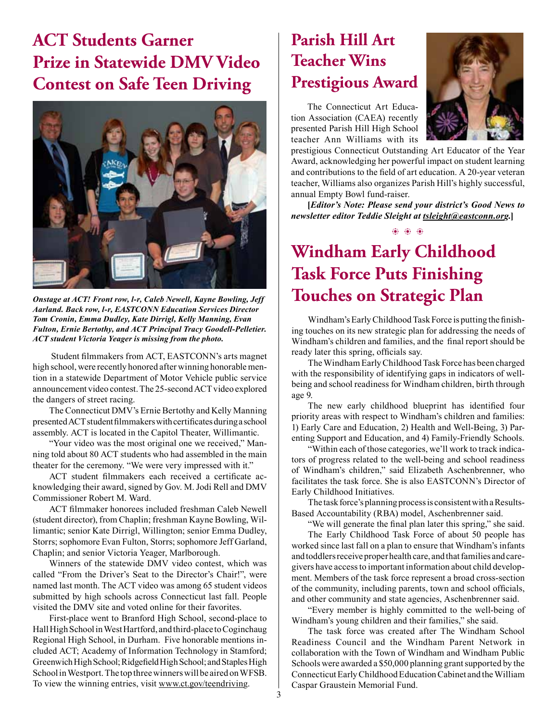# **ACT Students Garner Prize in Statewide DMV Video Contest on Safe Teen Driving**



*Onstage at ACT! Front row, l-r, Caleb Newell, Kayne Bowling, Jeff Aarland. Back row, l-r, EASTCONN Education Services Director Tom Cronin, Emma Dudley, Kate Dirrigl, Kelly Manning, Evan Fulton, Ernie Bertothy, and ACT Principal Tracy Goodell-Pelletier. ACT student Victoria Yeager is missing from the photo.*

 Student flmmakers from ACT, EASTCONN's arts magnet high school, were recently honored after winning honorable mention in a statewide Department of Motor Vehicle public service announcement video contest. The 25-second ACT video explored the dangers of street racing.

The Connecticut DMV's Ernie Bertothy and Kelly Manning presented ACT student flmmakers with certifcates during a school assembly. ACT is located in the Capitol Theater, Willimantic.

"Your video was the most original one we received," Manning told about 80 ACT students who had assembled in the main theater for the ceremony. "We were very impressed with it."

ACT student flmmakers each received a certifcate acknowledging their award, signed by Gov. M. Jodi Rell and DMV Commissioner Robert M. Ward.

ACT flmmaker honorees included freshman Caleb Newell (student director), from Chaplin; freshman Kayne Bowling, Willimantic; senior Kate Dirrigl, Willington; senior Emma Dudley, Storrs; sophomore Evan Fulton, Storrs; sophomore Jeff Garland, Chaplin; and senior Victoria Yeager, Marlborough.

Winners of the statewide DMV video contest, which was called "From the Driver's Seat to the Director's Chair!", were named last month. The ACT video was among 65 student videos submitted by high schools across Connecticut last fall. People visited the DMV site and voted online for their favorites.

First-place went to Branford High School, second-place to Hall High School in West Hartford, and third-place to Coginchaug Regional High School, in Durham. Five honorable mentions included ACT; Academy of Information Technology in Stamford; Greenwich High School; Ridgefeld High School; and Staples High School in Westport. The top three winners will be aired on WFSB. To view the winning entries, visit www.ct.gov/teendriving.

### **Parish Hill Art Teacher Wins Prestigious Award**

The Connecticut Art Education Association (CAEA) recently presented Parish Hill High School teacher Ann Williams with its

prestigious Connecticut Outstanding Art Educator of the Year Award, acknowledging her powerful impact on student learning and contributions to the feld of art education. A 20-year veteran teacher, Williams also organizes Parish Hill's highly successful, annual Empty Bowl fund-raiser.

**[***Editor's Note: Please send your district's Good News to newsletter editor Teddie Sleight at tsleight@eastconn.org.***]**

 $\langle \hat{\mathbf{o}} \rangle$   $\langle \hat{\mathbf{o}} \rangle$   $\langle \hat{\mathbf{o}} \rangle$ 

# **Windham Early Childhood Task Force Puts Finishing Touches on Strategic Plan**

Windham's Early Childhood Task Force is putting the fnishing touches on its new strategic plan for addressing the needs of Windham's children and families, and the fnal report should be ready later this spring, officials say.

The Windham Early Childhood Task Force has been charged with the responsibility of identifying gaps in indicators of wellbeing and school readiness for Windham children, birth through age 9.

The new early childhood blueprint has identifed four priority areas with respect to Windham's children and families: 1) Early Care and Education, 2) Health and Well-Being, 3) Parenting Support and Education, and 4) Family-Friendly Schools.

"Within each of those categories, we'll work to track indicators of progress related to the well-being and school readiness of Windham's children," said Elizabeth Aschenbrenner, who facilitates the task force. She is also EASTCONN's Director of Early Childhood Initiatives.

The task force's planning process is consistent with a Results-Based Accountability (RBA) model, Aschenbrenner said.

"We will generate the fnal plan later this spring," she said. The Early Childhood Task Force of about 50 people has worked since last fall on a plan to ensure that Windham's infants and toddlers receive proper health care, and that families and caregivers have access to important information about child development. Members of the task force represent a broad cross-section of the community, including parents, town and school offcials, and other community and state agencies, Aschenbrenner said.

"Every member is highly committed to the well-being of Windham's young children and their families," she said.

The task force was created after The Windham School Readiness Council and the Windham Parent Network in collaboration with the Town of Windham and Windham Public Schools were awarded a \$50,000 planning grant supported by the Connecticut Early Childhood Education Cabinet and the William Caspar Graustein Memorial Fund.